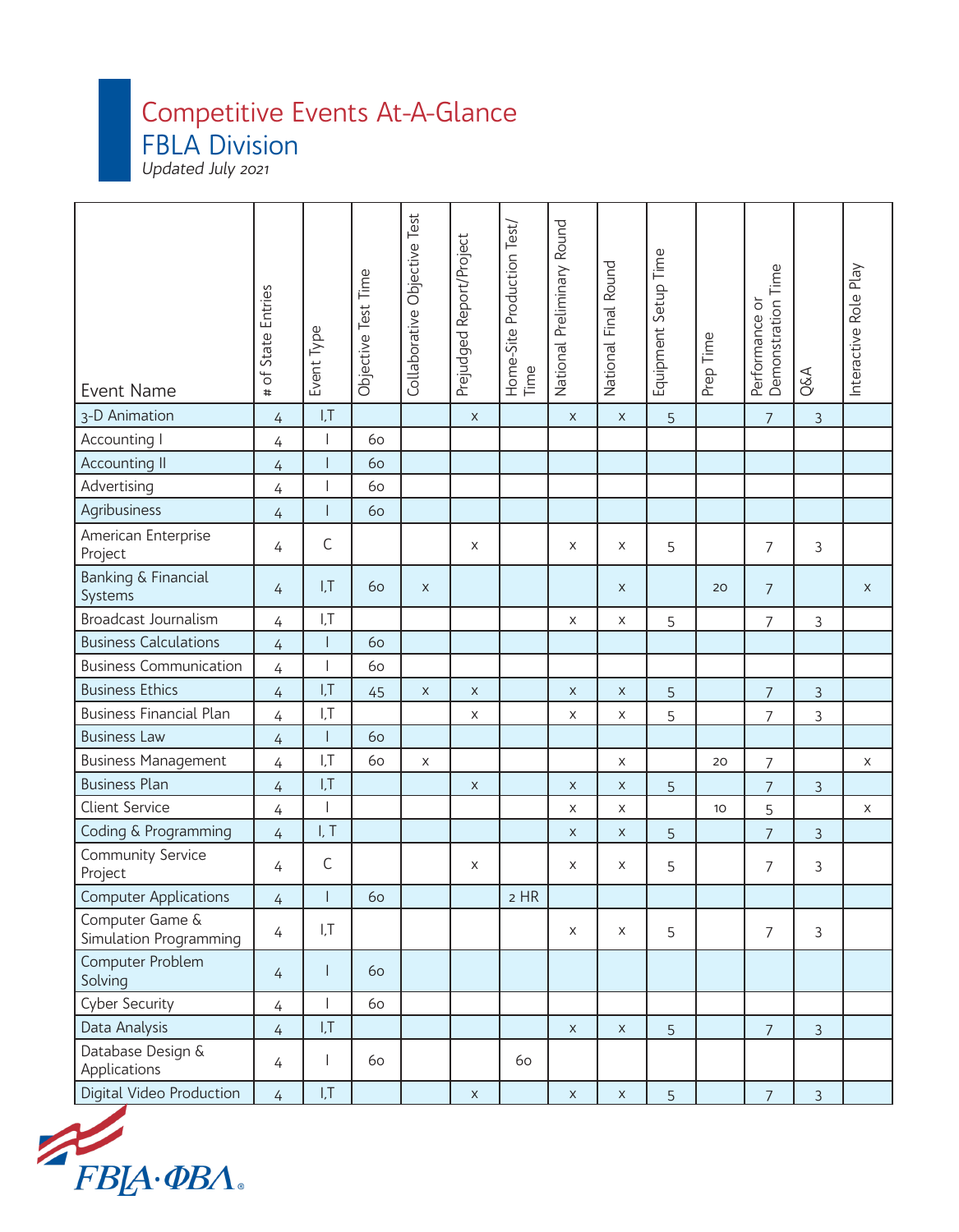## Competitive Events At-A-Glance

FBLA Division

Updated July 2021

| <b>Event Name</b>                         | of State Entries<br># | Event Type               | Objective Test Time | Collaborative Objective Test | Prejudged Report/Project | Home-Site Production Test/<br>Time | National Preliminary Round | National Final Round | Equipment Setup Time | Prep Time       | Demonstration Time<br>Performance or | Q&A            | Interactive Role Play |
|-------------------------------------------|-----------------------|--------------------------|---------------------|------------------------------|--------------------------|------------------------------------|----------------------------|----------------------|----------------------|-----------------|--------------------------------------|----------------|-----------------------|
| 3-D Animation                             | $\overline{4}$        | I, T                     |                     |                              | $\mathsf X$              |                                    | $\mathsf X$                | $\mathsf X$          | 5                    |                 | $\overline{7}$                       | $\mathfrak{Z}$ |                       |
| Accounting I                              | 4                     | $\overline{\phantom{a}}$ | 60                  |                              |                          |                                    |                            |                      |                      |                 |                                      |                |                       |
| <b>Accounting II</b>                      | $\overline{4}$        | $\overline{\phantom{a}}$ | 60                  |                              |                          |                                    |                            |                      |                      |                 |                                      |                |                       |
| Advertising                               | 4                     | I                        | 60                  |                              |                          |                                    |                            |                      |                      |                 |                                      |                |                       |
| Agribusiness                              | $\overline{4}$        | $\mathsf{I}$             | 60                  |                              |                          |                                    |                            |                      |                      |                 |                                      |                |                       |
| American Enterprise<br>Project            | 4                     | $\mathsf C$              |                     |                              | X                        |                                    | X                          | X                    | 5                    |                 | $\overline{7}$                       | 3              |                       |
| <b>Banking &amp; Financial</b><br>Systems | $\overline{4}$        | I, T                     | 60                  | $\mathsf X$                  |                          |                                    |                            | X                    |                      | 20              | $\overline{7}$                       |                | X                     |
| Broadcast Journalism                      | $\overline{4}$        | I, T                     |                     |                              |                          |                                    | X                          | $\mathsf X$          | 5                    |                 | $\overline{7}$                       | 3              |                       |
| <b>Business Calculations</b>              | $\overline{4}$        | $\mathsf{I}$             | 60                  |                              |                          |                                    |                            |                      |                      |                 |                                      |                |                       |
| <b>Business Communication</b>             | $\overline{4}$        | $\overline{\phantom{a}}$ | 60                  |                              |                          |                                    |                            |                      |                      |                 |                                      |                |                       |
| <b>Business Ethics</b>                    | $\overline{4}$        | I, T                     | 45                  | X                            | $\mathsf X$              |                                    | $\mathsf X$                | $\mathsf X$          | 5                    |                 | $\overline{7}$                       | $\mathfrak{Z}$ |                       |
| <b>Business Financial Plan</b>            | $\overline{4}$        | I, T                     |                     |                              | $\mathsf X$              |                                    | X                          | X                    | 5                    |                 | $\overline{7}$                       | 3              |                       |
| <b>Business Law</b>                       | $\overline{4}$        | $\mathsf{I}$             | 60                  |                              |                          |                                    |                            |                      |                      |                 |                                      |                |                       |
| <b>Business Management</b>                | 4                     | I, T                     | 60                  | $\mathsf X$                  |                          |                                    |                            | $\mathsf X$          |                      | 20              | $\overline{7}$                       |                | $\mathsf X$           |
| <b>Business Plan</b>                      | $\overline{4}$        | I, T                     |                     |                              | $\mathsf X$              |                                    | $\pmb{\times}$             | X                    | 5                    |                 | $\overline{7}$                       | 3              |                       |
| <b>Client Service</b>                     | 4                     | $\overline{\phantom{a}}$ |                     |                              |                          |                                    | X                          | X                    |                      | 10 <sup>°</sup> | 5                                    |                | $\mathsf X$           |
| Coding & Programming                      | $\overline{4}$        | I, T                     |                     |                              |                          |                                    | $\mathsf X$                | $\mathsf X$          | 5                    |                 | $\overline{7}$                       | $\mathfrak{Z}$ |                       |
| <b>Community Service</b><br>Project       | 4                     | $\mathsf C$              |                     |                              | X                        |                                    | X                          | X                    | 5                    |                 | $\overline{7}$                       | 3              |                       |
| <b>Computer Applications</b>              | 4                     |                          | 60                  |                              |                          | $2$ HR                             |                            |                      |                      |                 |                                      |                |                       |
| Computer Game &<br>Simulation Programming | $\overline{4}$        | I,T                      |                     |                              |                          |                                    | X                          | $\times$             | 5                    |                 | $\overline{7}$                       | $\mathfrak{Z}$ |                       |
| Computer Problem<br>Solving               | $\overline{4}$        | $\mathbf{I}$             | 60                  |                              |                          |                                    |                            |                      |                      |                 |                                      |                |                       |
| <b>Cyber Security</b>                     | $\overline{4}$        | $\mathbf{I}$             | 60                  |                              |                          |                                    |                            |                      |                      |                 |                                      |                |                       |
| Data Analysis                             | $\overline{4}$        | I, T                     |                     |                              |                          |                                    | $\mathsf X$                | $\mathsf X$          | 5                    |                 | $\overline{7}$                       | $\mathfrak{Z}$ |                       |
| Database Design &<br>Applications         | 4                     | $\mathsf{l}$             | 60                  |                              |                          | 60                                 |                            |                      |                      |                 |                                      |                |                       |
| Digital Video Production                  | $\overline{4}$        | I, T                     |                     |                              | $\mathsf X$              |                                    | $\mathsf X$                | $\mathsf X$          | 5                    |                 | $\overline{7}$                       | $\mathfrak{Z}$ |                       |

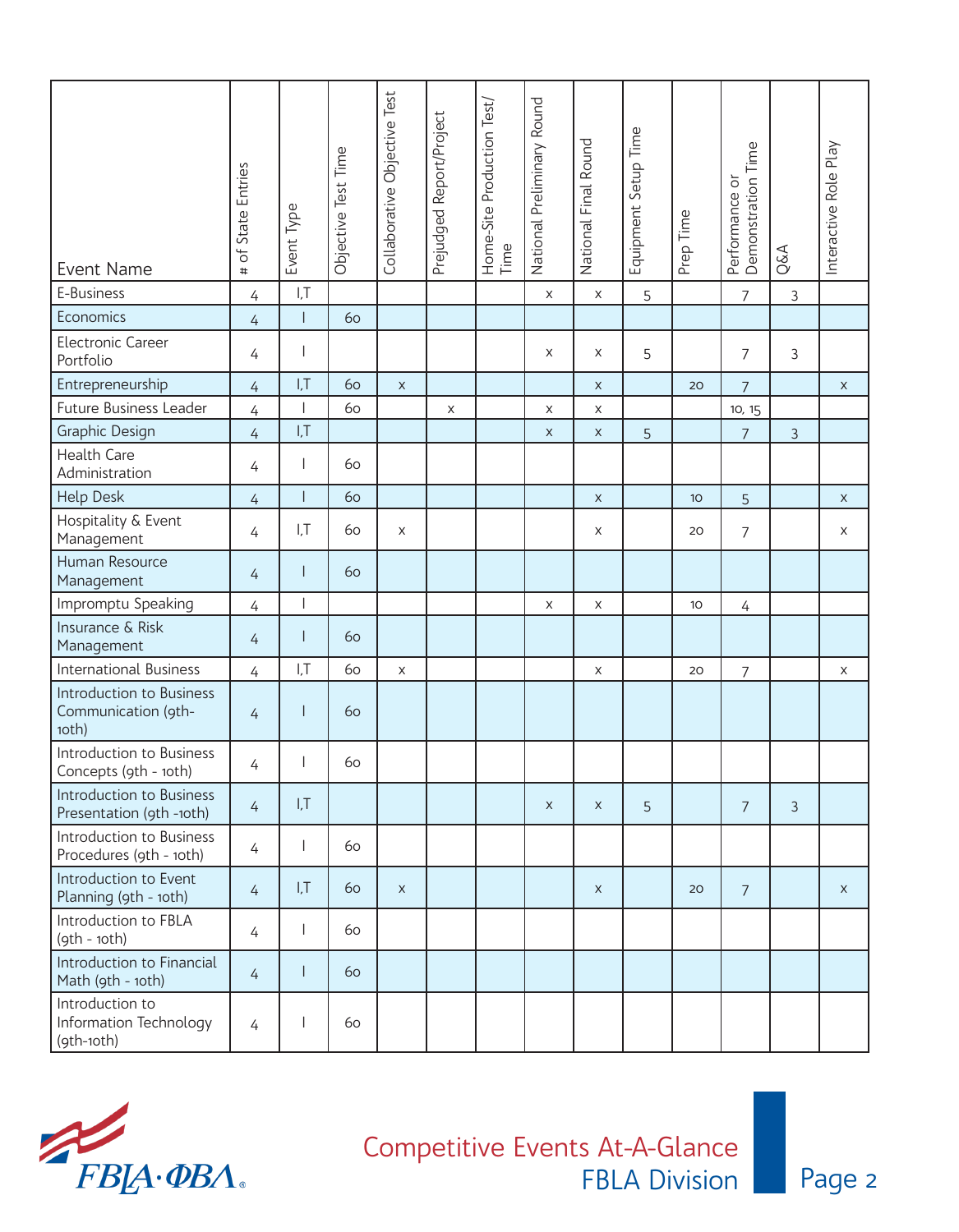| Event Name                                               | of State Entries<br># | Event Type     | Objective Test Time | Collaborative Objective Test | Prejudged Report/Project | Home-Site Production Test/<br>Time | National Preliminary Round | National Final Round | Equipment Setup Time | Prep Time       | Performance or<br>Demonstration Time | Q&A            | Interactive Role Play |
|----------------------------------------------------------|-----------------------|----------------|---------------------|------------------------------|--------------------------|------------------------------------|----------------------------|----------------------|----------------------|-----------------|--------------------------------------|----------------|-----------------------|
| E-Business                                               | $\overline{4}$        | I, T           |                     |                              |                          |                                    | $\mathsf X$                | $\mathsf X$          | 5                    |                 | $\overline{7}$                       | $\mathfrak{Z}$ |                       |
| Economics                                                | 4                     |                | 60                  |                              |                          |                                    |                            |                      |                      |                 |                                      |                |                       |
| <b>Electronic Career</b><br>Portfolio                    | 4                     |                |                     |                              |                          |                                    | X                          | X                    | 5                    |                 | 7                                    | 3              |                       |
| Entrepreneurship                                         | $\overline{4}$        | I, T           | 60                  | $\mathsf X$                  |                          |                                    |                            | $\mathsf{X}$         |                      | 20              | $\overline{7}$                       |                | $\mathsf X$           |
| <b>Future Business Leader</b>                            | 4                     |                | 60                  |                              | X                        |                                    | X                          | $\mathsf X$          |                      |                 | 10, 15                               |                |                       |
| Graphic Design                                           | $\overline{4}$        | I, T           |                     |                              |                          |                                    | $\mathsf{X}$               | $\pmb{\times}$       | 5                    |                 | $\overline{7}$                       | 3              |                       |
| <b>Health Care</b><br>Administration                     | 4                     |                | 60                  |                              |                          |                                    |                            |                      |                      |                 |                                      |                |                       |
| <b>Help Desk</b>                                         | 4                     | $\overline{1}$ | 60                  |                              |                          |                                    |                            | $\mathsf X$          |                      | 10 <sup>°</sup> | 5                                    |                | $\mathsf X$           |
| Hospitality & Event<br>Management                        | 4                     | I, T           | 60                  | X                            |                          |                                    |                            | X                    |                      | 20              | 7                                    |                | X                     |
| Human Resource<br>Management                             | 4                     |                | 60                  |                              |                          |                                    |                            |                      |                      |                 |                                      |                |                       |
| Impromptu Speaking                                       | 4                     |                |                     |                              |                          |                                    | $\mathsf X$                | $\mathsf X$          |                      | 10 <sup>°</sup> | 4                                    |                |                       |
| Insurance & Risk<br>Management                           | 4                     |                | 60                  |                              |                          |                                    |                            |                      |                      |                 |                                      |                |                       |
| <b>International Business</b>                            | $\overline{4}$        | I, T           | 60                  | $\mathsf X$                  |                          |                                    |                            | X                    |                      | 20              | $\overline{7}$                       |                | X                     |
| Introduction to Business<br>Communication (9th-<br>10th) | 4                     |                | 60                  |                              |                          |                                    |                            |                      |                      |                 |                                      |                |                       |
| Introduction to Business<br>Concepts (9th - 10th)        | 4                     | $\mathbf{L}$   | 60                  |                              |                          |                                    |                            |                      |                      |                 |                                      |                |                       |
| Introduction to Business<br>Presentation (9th -10th)     | $\overline{4}$        | I, T           |                     |                              |                          |                                    | $\mathsf X$                | $\mathsf X$          | 5                    |                 | 7                                    | $\mathfrak{Z}$ |                       |
| Introduction to Business<br>Procedures (9th - 10th)      | 4                     |                | 60                  |                              |                          |                                    |                            |                      |                      |                 |                                      |                |                       |
| Introduction to Event<br>Planning (9th - 10th)           | $\overline{4}$        | I, T           | 60                  | $\mathsf{X}$                 |                          |                                    |                            | $\mathsf{X}$         |                      | 20              | $\overline{7}$                       |                | $\mathsf{X}$          |
| Introduction to FBLA<br>$(9th - 10th)$                   | 4                     |                | 60                  |                              |                          |                                    |                            |                      |                      |                 |                                      |                |                       |
| Introduction to Financial<br>Math (9th - 10th)           | 4                     |                | 60                  |                              |                          |                                    |                            |                      |                      |                 |                                      |                |                       |
| Introduction to<br>Information Technology<br>(9th-10th)  | 4                     |                | 60                  |                              |                          |                                    |                            |                      |                      |                 |                                      |                |                       |

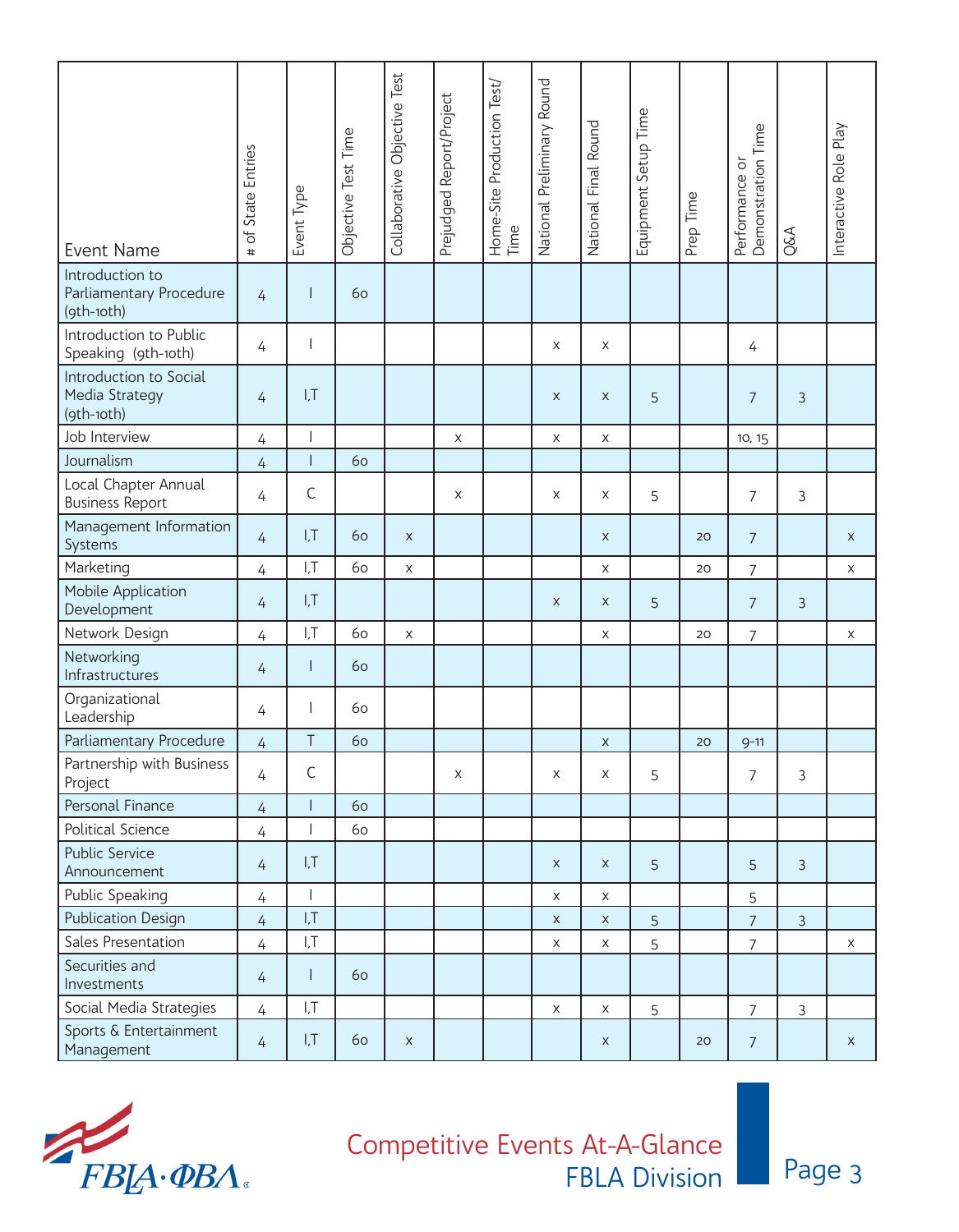| Event Name                                               | # of State Entries | Event Type     | Objective Test Time | Collaborative Objective Test | Prejudged Report/Project | Home-Site Production Test/<br>Time | National Preliminary Round | National Final Round | Equipment Setup Time | Prep Time | Demonstration Time<br>Performance or | Q&A            | Interactive Role Play |
|----------------------------------------------------------|--------------------|----------------|---------------------|------------------------------|--------------------------|------------------------------------|----------------------------|----------------------|----------------------|-----------|--------------------------------------|----------------|-----------------------|
| Introduction to<br>Parliamentary Procedure<br>(9th-10th) | 4                  |                | 60                  |                              |                          |                                    |                            |                      |                      |           |                                      |                |                       |
| Introduction to Public<br>Speaking (9th-10th)            | 4                  |                |                     |                              |                          |                                    | $\mathsf X$                | X                    |                      |           | 4                                    |                |                       |
| Introduction to Social<br>Media Strategy<br>(9th-10th)   | $\overline{4}$     | I, T           |                     |                              |                          |                                    | $\pmb{\times}$             | $\mathsf{X}$         | 5                    |           | $\overline{7}$                       | 3              |                       |
| Job Interview                                            | 4                  |                |                     |                              | $\mathsf X$              |                                    | X                          | $\mathsf X$          |                      |           | 10, 15                               |                |                       |
| Journalism                                               | 4                  | $\overline{1}$ | 60                  |                              |                          |                                    |                            |                      |                      |           |                                      |                |                       |
| Local Chapter Annual<br><b>Business Report</b>           | $\overline{4}$     | $\mathsf C$    |                     |                              | X                        |                                    | X                          | X                    | 5                    |           | $\overline{7}$                       | 3              |                       |
| Management Information<br>Systems                        | $\overline{4}$     | I, T           | 60                  | $\mathsf X$                  |                          |                                    |                            | $\mathsf X$          |                      | 20        | $\overline{7}$                       |                | $\mathsf{X}$          |
| Marketing                                                | $\overline{4}$     | I,T            | 60                  | $\mathsf X$                  |                          |                                    |                            | $\mathsf X$          |                      | 20        | $\overline{7}$                       |                | $\mathsf X$           |
| Mobile Application<br>Development                        | 4                  | I, T           |                     |                              |                          |                                    | $\mathsf X$                | X                    | 5                    |           | $\overline{7}$                       | 3              |                       |
| Network Design                                           | $\overline{4}$     | I, T           | 60                  | $\mathsf X$                  |                          |                                    |                            | $\mathsf X$          |                      | 20        | $\overline{7}$                       |                | X                     |
| Networking<br>Infrastructures                            | 4                  | I              | 60                  |                              |                          |                                    |                            |                      |                      |           |                                      |                |                       |
| Organizational<br>Leadership                             | 4                  | $\overline{1}$ | 60                  |                              |                          |                                    |                            |                      |                      |           |                                      |                |                       |
| Parliamentary Procedure                                  | $\overline{4}$     | Τ              | 60                  |                              |                          |                                    |                            | $\mathsf X$          |                      | 20        | $9 - 11$                             |                |                       |
| Partnership with Business<br>Project                     | 4                  | $\mathsf C$    |                     |                              | X                        |                                    | X                          | $\mathsf X$          | 5                    |           | $\overline{7}$                       | $\mathfrak{Z}$ |                       |
| Personal Finance                                         | $\overline{4}$     | $\mathsf{I}$   | 60                  |                              |                          |                                    |                            |                      |                      |           |                                      |                |                       |
| Political Science                                        | 4                  |                | 60                  |                              |                          |                                    |                            |                      |                      |           |                                      |                |                       |
| <b>Public Service</b><br>Announcement                    | $\overline{4}$     | I, T           |                     |                              |                          |                                    | $\mathsf X$                | X                    | 5                    |           | 5                                    | $\overline{3}$ |                       |
| Public Speaking                                          | 4                  | $\overline{1}$ |                     |                              |                          |                                    | $\mathsf X$                | $\mathsf{X}$         |                      |           | 5                                    |                |                       |
| <b>Publication Design</b>                                | $\overline{4}$     | I, T           |                     |                              |                          |                                    | $\mathsf X$                | $\mathsf X$          | 5                    |           | $\overline{7}$                       | $\mathfrak{Z}$ |                       |
| Sales Presentation                                       | 4                  | I,T            |                     |                              |                          |                                    | $\mathsf X$                | $\mathsf X$          | 5                    |           | $\overline{7}$                       |                | X                     |
| Securities and<br>Investments                            | $\overline{4}$     | $\overline{1}$ | 60                  |                              |                          |                                    |                            |                      |                      |           |                                      |                |                       |
| Social Media Strategies                                  | 4                  | I, T           |                     |                              |                          |                                    | $\pmb{\times}$             | $\mathsf X$          | 5                    |           | $\overline{7}$                       | $\mathfrak{Z}$ |                       |
| Sports & Entertainment<br>Management                     | $\overline{4}$     | I,T            | 60                  | $\mathsf X$                  |                          |                                    |                            | X                    |                      | 20        | $\overline{7}$                       |                | X                     |